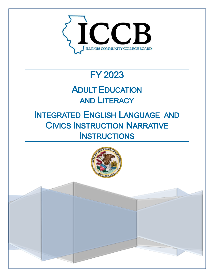

## **FY 2023**

# **ADULT EDUCATION AND LITERACY**

## **INTEGRATED ENGLISH LANGUAGE AND CIVICS INSTRUCTION NARRATIVE INSTRUCTIONS**

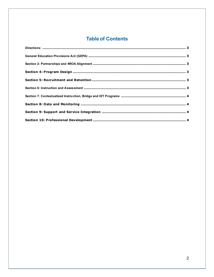## **Table of Contents**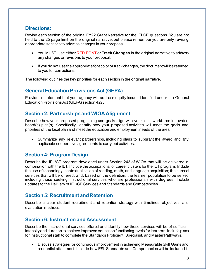#### <span id="page-2-0"></span>**Directions:**

Revise each section of the original FY22 Grant Narrative for the IELCE questions. You are not held to the 25 page limit on the original narrative, but please remember you are only revising appropriate sections to address changes in your proposal.

- You MUST use either RED FONT or **Track Changes** in the original narrative to address any changes or revisions to your proposal.
- If you do not use the appropriate font color or track changes, the document will be returned to you for corrections.

The following outlines the key priorities for each section in the original narrative.

### <span id="page-2-1"></span>**General Education Provisions Act (GEPA)**

Provide a statement that your agency will address equity issues identified under the General Education Provisions Act (GEPA) section 427.

### <span id="page-2-2"></span>**Section 2: Partnerships and WIOA Alignment**

Describe how your proposed programing and goals align with your local workforce innovation board(s) plan(s). Specifically, identify how your proposed activities will meet the goals and priorities of the local plan and meet the education and employment needs of the area.

• Summarize any relevant partnerships, including plans to subgrant the award and any applicable cooperative agreements to carry out activities.

### <span id="page-2-3"></span>**Section 4: Program Design**

Describe the IEL/CE program developed under Section 243 of WIOA that will be delivered in combination with the IET. Include the occupational or career clusters for the IET program. Include the use of technology; contextualization of reading, math, and language acquisition; the support services that will be offered; and, based on the definition, the learner population to be served including those seeking instructional services who are professionals with degrees. Include updates to the Delivery of IEL/CE Services and Standards and Competencies.

### <span id="page-2-4"></span>**Section 5: Recruitment and Retention**

Describe a clear student recruitment and retention strategy with timelines, objectives, and evaluation methods.

### <span id="page-2-5"></span>**Section 6: Instruction and Assessment**

Describe the instructional services offered and identify how these services will be of sufficient intensity and duration to achieve improved education functioning levels for learners. Include plans for instructional staff to complete the Standards Proficient, Specialist, and Master Pathways.

• Discuss strategies for continuous improvement in achieving Measurable Skill Gains and credential attainment. Include how ESL Standards and Competencies will be included in